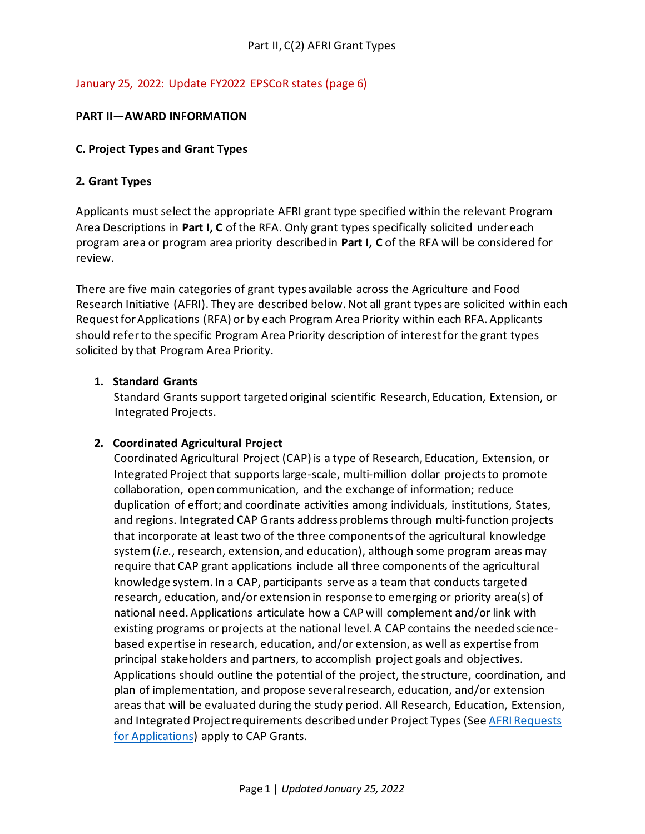## January 25, 2022: Update FY2022 EPSCoR states (page 6)

### **PART II—AWARD INFORMATION**

#### **C. Project Types and Grant Types**

### **2. Grant Types**

Applicants must select the appropriate AFRI grant type specified within the relevant Program Area Descriptions in **Part I, C** of the RFA. Only grant types specifically solicited under each program area or program area priority described in **Part I, C** of the RFA will be considered for review.

There are five main categories of grant types available across the Agriculture and Food Research Initiative (AFRI). They are described below. Not all grant types are solicited within each Request for Applications (RFA) or by each Program Area Priority within each RFA. Applicants should refer to the specific Program Area Priority description of interest for the grant types solicited by that Program Area Priority.

#### **1. Standard Grants**

Standard Grants support targeted original scientific Research, Education, Extension, or Integrated Projects.

### **2. Coordinated Agricultural Project**

Coordinated Agricultural Project (CAP) is a type of Research, Education, Extension, or Integrated Project that supports large-scale, multi-million dollar projects to promote collaboration, open communication, and the exchange of information; reduce duplication of effort; and coordinate activities among individuals, institutions, States, and regions. Integrated CAP Grants address problems through multi-function projects that incorporate at least two of the three components of the agricultural knowledge system (*i.e.*, research, extension, and education), although some program areas may require that CAP grant applications include all three components of the agricultural knowledge system. In a CAP, participants serve as a team that conducts targeted research, education, and/or extension in response to emerging or priority area(s) of national need. Applications articulate how a CAP will complement and/or link with existing programs or projects at the national level. A CAP contains the needed sciencebased expertise in research, education, and/or extension, as well as expertise from principal stakeholders and partners, to accomplish project goals and objectives. Applications should outline the potential of the project, the structure, coordination, and plan of implementation, and propose several research, education, and/or extension areas that will be evaluated during the study period. All Research, Education, Extension, and Integrated Project requirements described under Project Types (Se[e AFRI Requests](http://nifa.usda.gov/afri-request-applications)  [for Applications\)](http://nifa.usda.gov/afri-request-applications) apply to CAP Grants.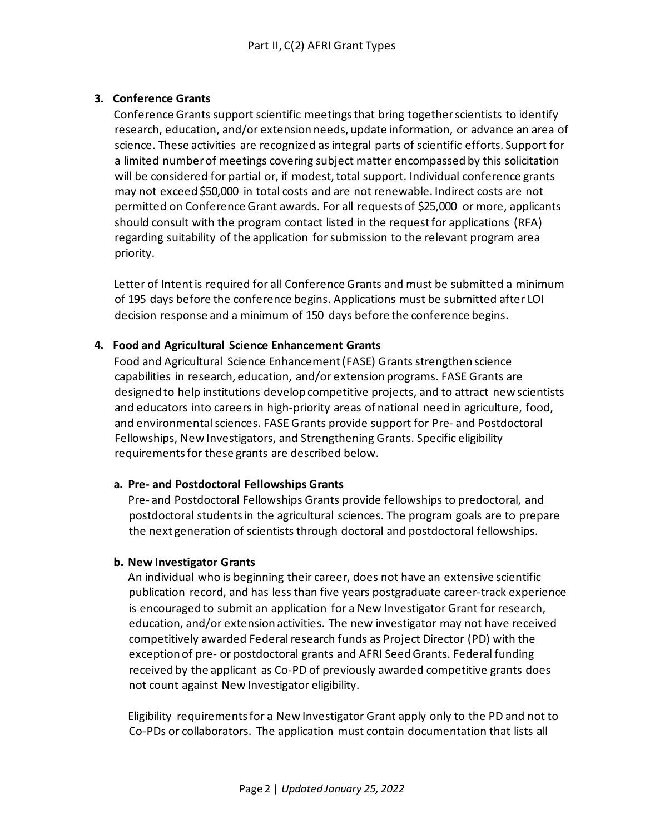## **3. Conference Grants**

Conference Grants support scientific meetings that bring together scientists to identify research, education, and/or extension needs, update information, or advance an area of science. These activities are recognized as integral parts of scientific efforts. Support for a limited number of meetings covering subject matter encompassed by this solicitation will be considered for partial or, if modest, total support. Individual conference grants may not exceed \$50,000 in total costs and are not renewable. Indirect costs are not permitted on Conference Grant awards. For all requests of \$25,000 or more, applicants should consult with the program contact listed in the request for applications (RFA) regarding suitability of the application for submission to the relevant program area priority.

Letter of Intent is required for all Conference Grants and must be submitted a minimum of 195 days before the conference begins. Applications must be submitted after LOI decision response and a minimum of 150 days before the conference begins.

### **4. Food and Agricultural Science Enhancement Grants**

Food and Agricultural Science Enhancement (FASE) Grants strengthen science capabilities in research, education, and/or extension programs. FASE Grants are designed to help institutions develop competitive projects, and to attract new scientists and educators into careers in high-priority areas of national need in agriculture, food, and environmental sciences. FASE Grants provide support for Pre- and Postdoctoral Fellowships, New Investigators, and Strengthening Grants. Specific eligibility requirements for these grants are described below.

### **a. Pre- and Postdoctoral Fellowships Grants**

Pre- and Postdoctoral Fellowships Grants provide fellowships to predoctoral, and postdoctoral students in the agricultural sciences. The program goals are to prepare the next generation of scientists through doctoral and postdoctoral fellowships.

## **b. New Investigator Grants**

An individual who is beginning their career, does not have an extensive scientific publication record, and has less than five years postgraduate career-track experience is encouraged to submit an application for a New Investigator Grant for research, education, and/or extension activities. The new investigator may not have received competitively awarded Federal research funds as Project Director (PD) with the exception of pre- or postdoctoral grants and AFRI Seed Grants. Federal funding received by the applicant as Co-PD of previously awarded competitive grants does not count against New Investigator eligibility.

Eligibility requirements for a New Investigator Grant apply only to the PD and not to Co-PDs or collaborators. The application must contain documentation that lists all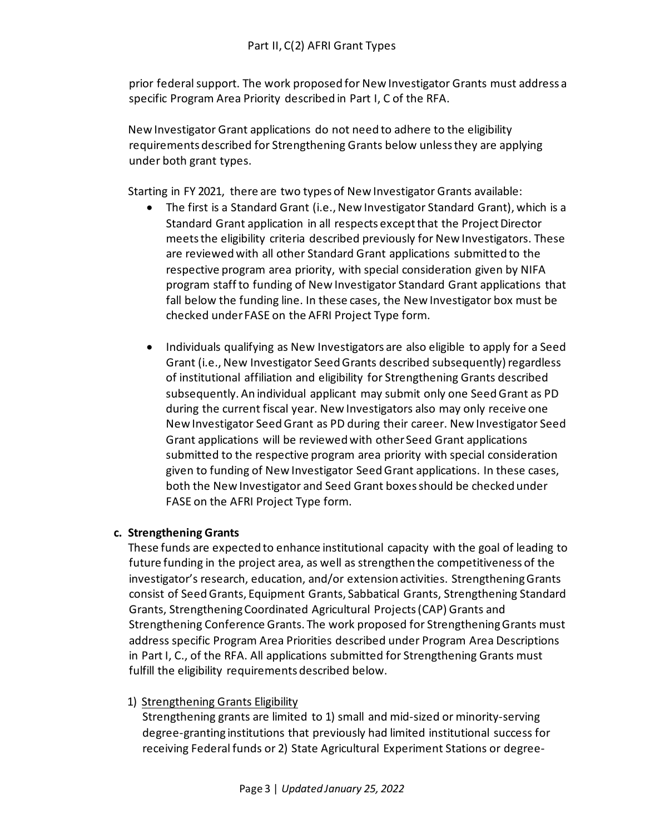prior federal support. The work proposed for New Investigator Grants must address a specific Program Area Priority described in Part I, C of the RFA.

New Investigator Grant applications do not need to adhere to the eligibility requirements described for Strengthening Grants below unless they are applying under both grant types.

Starting in FY 2021, there are two types of New Investigator Grants available:

- The first is a Standard Grant (i.e., New Investigator Standard Grant), which is a Standard Grant application in all respects except that the Project Director meets the eligibility criteria described previously for New Investigators. These are reviewed with all other Standard Grant applications submitted to the respective program area priority, with special consideration given by NIFA program staff to funding of New Investigator Standard Grant applications that fall below the funding line. In these cases, the New Investigator box must be checked under FASE on the AFRI Project Type form.
- Individuals qualifying as New Investigators are also eligible to apply for a Seed Grant (i.e., New Investigator Seed Grants described subsequently) regardless of institutional affiliation and eligibility for Strengthening Grants described subsequently. An individual applicant may submit only one Seed Grant as PD during the current fiscal year. New Investigators also may only receive one New Investigator SeedGrant as PD during their career. New Investigator Seed Grant applications will be reviewed with other Seed Grant applications submitted to the respective program area priority with special consideration given to funding of New Investigator Seed Grant applications. In these cases, both the New Investigator and Seed Grant boxes should be checked under FASE on the AFRI Project Type form.

## **c. Strengthening Grants**

These funds are expected to enhance institutional capacity with the goal of leading to future funding in the project area, as well as strengthen the competitiveness of the investigator's research, education, and/or extension activities. Strengthening Grants consist of Seed Grants, Equipment Grants, Sabbatical Grants, Strengthening Standard Grants, Strengthening Coordinated Agricultural Projects (CAP) Grants and Strengthening Conference Grants. The work proposed for Strengthening Grants must address specific Program Area Priorities described under Program Area Descriptions in Part I, C., of the RFA. All applications submitted for Strengthening Grants must fulfill the eligibility requirements described below.

## 1) Strengthening Grants Eligibility

Strengthening grants are limited to 1) small and mid-sized or minority-serving degree-granting institutions that previously had limited institutional success for receiving Federal funds or 2) State Agricultural Experiment Stations or degree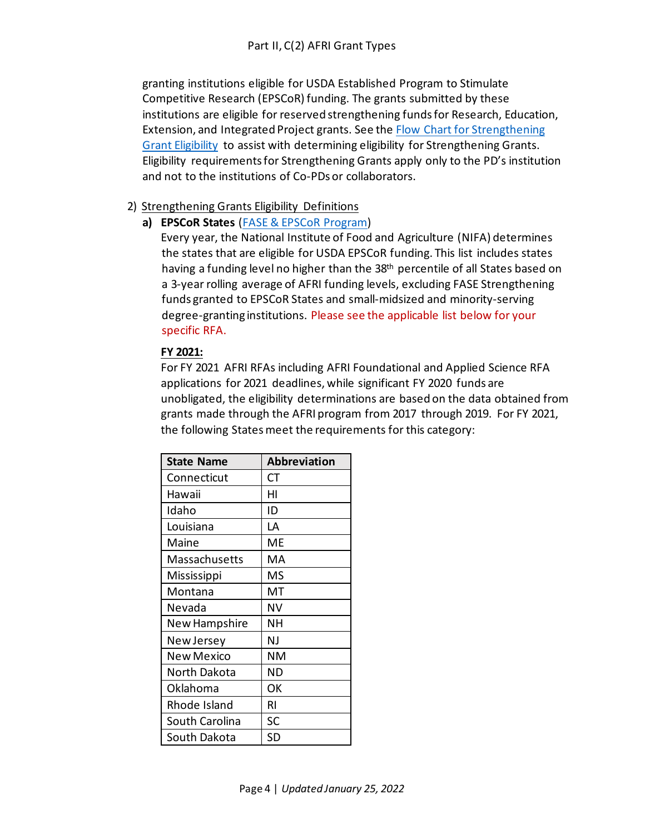granting institutions eligible for USDA Established Program to Stimulate Competitive Research (EPSCoR) funding. The grants submitted by these institutions are eligible for reserved strengthening funds for Research, Education, Extension, and Integrated Project grants. See the [Flow Chart for Strengthening](https://nifa.usda.gov/sites/default/files/resource/FASE%20Strengthening%20Grant%20Eligibility%20Flow%20Chart.pdf)  [Grant Eligibility](https://nifa.usda.gov/sites/default/files/resource/FASE%20Strengthening%20Grant%20Eligibility%20Flow%20Chart.pdf) to assist with determining eligibility for Strengthening Grants. Eligibility requirements for Strengthening Grants apply only to the PD's institution and not to the institutions of Co-PDs or collaborators.

## 2) Strengthening Grants Eligibility Definitions

**a) EPSCoR States** [\(FASE & EPSCoR Program\)](http://nifa.usda.gov/resource/afri-fase-epscor-program)

Every year, the National Institute of Food and Agriculture (NIFA) determines the states that are eligible for USDA EPSCoR funding. This list includes states having a funding level no higher than the 38<sup>th</sup> percentile of all States based on a 3-year rolling average of AFRI funding levels, excluding FASE Strengthening funds granted to EPSCoR States and small-midsized and minority-serving degree-granting institutions. Please see the applicable list below for your specific RFA.

## **FY 2021:**

For FY 2021 AFRI RFAs including AFRI Foundational and Applied Science RFA applications for 2021 deadlines, while significant FY 2020 funds are unobligated, the eligibility determinations are based on the data obtained from grants made through the AFRI program from 2017 through 2019. For FY 2021, the following States meet the requirements for this category:

| <b>State Name</b> | <b>Abbreviation</b> |
|-------------------|---------------------|
| Connecticut       | СT                  |
| Hawaii            | нι                  |
| Idaho             | ID                  |
| Louisiana         | LA                  |
| Maine             | ME                  |
| Massachusetts     | MA                  |
| Mississippi       | MS                  |
| Montana           | МT                  |
| Nevada            | NV                  |
| New Hampshire     | NΗ                  |
| New Jersey        | NJ                  |
| New Mexico        | NΜ                  |
| North Dakota      | ΝD                  |
| Oklahoma          | ОΚ                  |
| Rhode Island      | RI                  |
| South Carolina    | SC                  |
| South Dakota      | SD                  |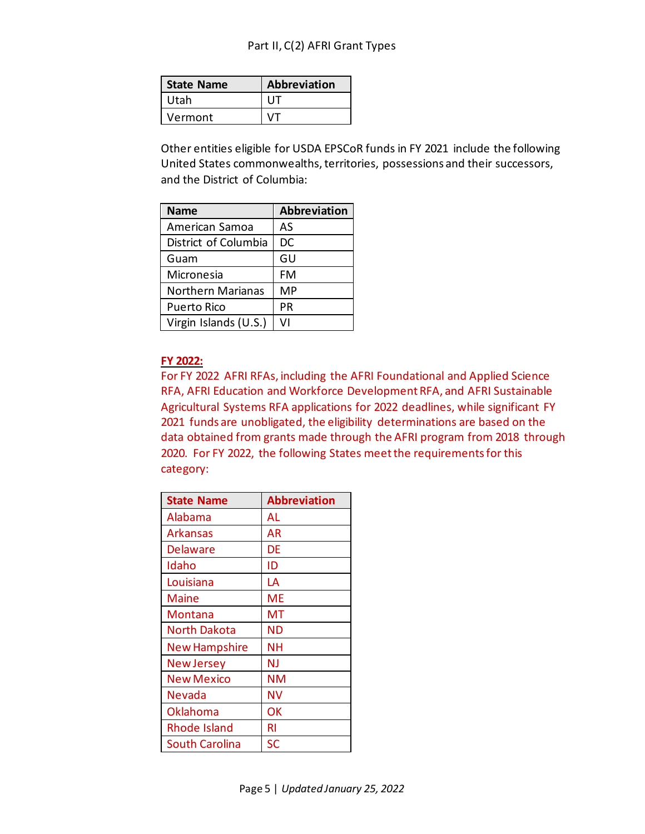| l State Name | Abbreviation |
|--------------|--------------|
| l Utah       |              |
| Vermont      |              |

Other entities eligible for USDA EPSCoR funds in FY 2021 include the following United States commonwealths, territories, possessions and their successors, and the District of Columbia:

| <b>Name</b>              | <b>Abbreviation</b> |
|--------------------------|---------------------|
| American Samoa           | AS                  |
| District of Columbia     | DC                  |
| Guam                     | GU                  |
| Micronesia               | FM                  |
| <b>Northern Marianas</b> | MP                  |
| <b>Puerto Rico</b>       | РR                  |
| Virgin Islands (U.S.)    | v١                  |

### **FY 2022:**

For FY 2022 AFRI RFAs, including the AFRI Foundational and Applied Science RFA, AFRI Education and Workforce Development RFA, and AFRI Sustainable Agricultural Systems RFA applications for 2022 deadlines, while significant FY 2021 funds are unobligated, the eligibility determinations are based on the data obtained from grants made through the AFRI program from 2018 through 2020. For FY 2022, the following States meet the requirements for this category:

| <b>State Name</b>     | <b>Abbreviation</b> |
|-----------------------|---------------------|
| Alabama               | AL                  |
| <b>Arkansas</b>       | ΑR                  |
| <b>Delaware</b>       | DE                  |
| Idaho                 | ID                  |
| Louisiana             | LA                  |
| Maine                 | ME                  |
| Montana               | МT                  |
| North Dakota          | ND                  |
| <b>New Hampshire</b>  | NΗ                  |
| <b>New Jersey</b>     | NJ                  |
| New Mexico            | NΜ                  |
| Nevada                | NV                  |
| <b>Oklahoma</b>       | ОΚ                  |
| <b>Rhode Island</b>   | RI                  |
| <b>South Carolina</b> | SC                  |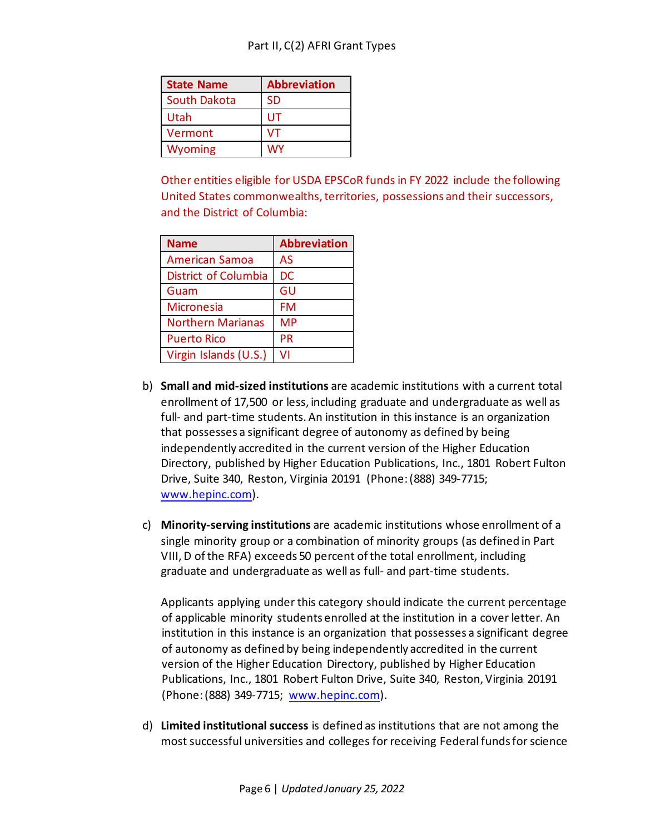| <b>State Name</b>   | <b>Abbreviation</b> |
|---------------------|---------------------|
| <b>South Dakota</b> | <b>SD</b>           |
| Utah                | UT                  |
| Vermont             | v٦                  |
| <b>Wyoming</b>      | wy                  |

Other entities eligible for USDA EPSCoR funds in FY 2022 include the following United States commonwealths, territories, possessions and their successors, and the District of Columbia:

| <b>Name</b>              | <b>Abbreviation</b> |
|--------------------------|---------------------|
| <b>American Samoa</b>    | AS                  |
| District of Columbia     | <b>DC</b>           |
| Guam                     | GU                  |
| <b>Micronesia</b>        | FM                  |
| <b>Northern Marianas</b> | MP                  |
| <b>Puerto Rico</b>       | <b>PR</b>           |
| Virgin Islands (U.S.)    | v١                  |

- b) **Small and mid-sized institutions** are academic institutions with a current total enrollment of 17,500 or less, including graduate and undergraduate as well as full- and part-time students. An institution in this instance is an organization that possesses a significant degree of autonomy as defined by being independently accredited in the current version of the Higher Education Directory, published by Higher Education Publications, Inc., 1801 Robert Fulton Drive, Suite 340, Reston, Virginia 20191 (Phone: (888) 349-7715; [www.hepinc.com\).](http://www.hepinc.com/)
- c) **Minority-serving institutions** are academic institutions whose enrollment of a single minority group or a combination of minority groups (as defined in Part VIII, D ofthe RFA) exceeds 50 percent of the total enrollment, including graduate and undergraduate as well as full- and part-time students.

Applicants applying under this category should indicate the current percentage of applicable minority students enrolled at the institution in a cover letter. An institution in this instance is an organization that possesses a significant degree of autonomy as defined by being independently accredited in the current version of the Higher Education Directory, published by Higher Education Publications, Inc., 1801 Robert Fulton Drive, Suite 340, Reston, Virginia 20191 (Phone: (888) 349-7715; [www.hepinc.com\).](http://www.hepinc.com/)

d) **Limited institutional success** is defined as institutions that are not among the most successful universities and colleges for receiving Federal funds for science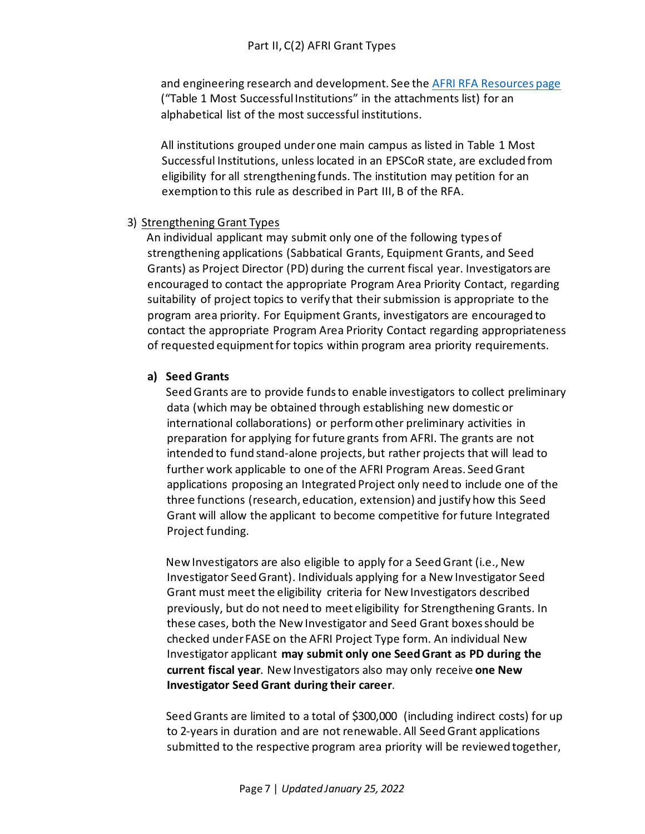and engineering research and development. See the [AFRI RFA Resources page](https://nifa.usda.gov/resource/afri-request-applications-resources) ("Table 1 Most Successful Institutions" in the attachments list) for an alphabetical list of the most successful institutions.

All institutions grouped under one main campus as listed in Table 1 Most Successful Institutions, unless located in an EPSCoR state, are excluded from eligibility for all strengthening funds. The institution may petition for an exemption to this rule as described in Part III, B of the RFA.

### 3) Strengthening Grant Types

An individual applicant may submit only one of the following types of strengthening applications (Sabbatical Grants, Equipment Grants, and Seed Grants) as Project Director (PD) during the current fiscal year. Investigators are encouraged to contact the appropriate Program Area Priority Contact, regarding suitability of project topics to verify that their submission is appropriate to the program area priority. For Equipment Grants, investigators are encouraged to contact the appropriate Program Area Priority Contact regarding appropriateness of requested equipment for topics within program area priority requirements.

### **a) Seed Grants**

Seed Grants are to provide funds to enable investigators to collect preliminary data (which may be obtained through establishing new domestic or international collaborations) or perform other preliminary activities in preparation for applying for future grants from AFRI. The grants are not intended to fund stand-alone projects, but rather projects that will lead to further work applicable to one of the AFRI Program Areas. Seed Grant applications proposing an Integrated Project only need to include one of the three functions (research, education, extension) and justify how this Seed Grant will allow the applicant to become competitive for future Integrated Project funding.

New Investigators are also eligible to apply for a Seed Grant (i.e., New Investigator Seed Grant). Individuals applying for a New Investigator Seed Grant must meet the eligibility criteria for New Investigators described previously, but do not need to meet eligibility for Strengthening Grants. In these cases, both the New Investigator and Seed Grant boxes should be checked under FASE on the AFRI Project Type form. An individual New Investigator applicant **may submit only one Seed Grant as PD during the current fiscal year**. New Investigators also may only receive **one New Investigator Seed Grant during their career**.

Seed Grants are limited to a total of \$300,000 (including indirect costs) for up to 2-years in duration and are not renewable. All Seed Grant applications submitted to the respective program area priority will be reviewed together,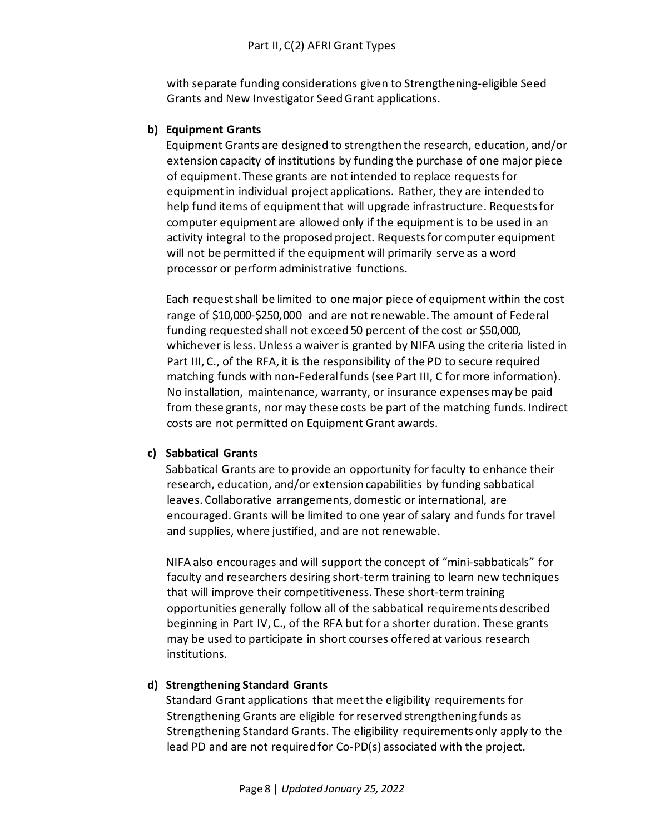with separate funding considerations given to Strengthening-eligible Seed Grants and New Investigator Seed Grant applications.

## **b) Equipment Grants**

Equipment Grants are designed to strengthen the research, education, and/or extension capacity of institutions by funding the purchase of one major piece of equipment. These grants are not intended to replace requests for equipment in individual project applications. Rather, they are intended to help fund items of equipment that will upgrade infrastructure. Requests for computer equipment are allowed only if the equipment is to be used in an activity integral to the proposed project. Requests for computer equipment will not be permitted if the equipment will primarily serve as a word processor or perform administrative functions.

Each request shall be limited to one major piece of equipment within the cost range of \$10,000-\$250,000 and are not renewable. The amount of Federal funding requested shall not exceed 50 percent of the cost or \$50,000, whichever is less. Unless a waiver is granted by NIFA using the criteria listed in Part III, C., of the RFA, it is the responsibility of the PD to secure required matching funds with non-Federal funds (see Part III, C for more information). No installation, maintenance, warranty, or insurance expenses may be paid from these grants, nor may these costs be part of the matching funds. Indirect costs are not permitted on Equipment Grant awards.

# **c) Sabbatical Grants**

Sabbatical Grants are to provide an opportunity for faculty to enhance their research, education, and/or extension capabilities by funding sabbatical leaves. Collaborative arrangements, domestic or international, are encouraged. Grants will be limited to one year of salary and funds for travel and supplies, where justified, and are not renewable.

NIFA also encourages and will support the concept of "mini-sabbaticals" for faculty and researchers desiring short-term training to learn new techniques that will improve their competitiveness. These short-term training opportunities generally follow all of the sabbatical requirements described beginning in Part IV, C., of the RFA but for a shorter duration. These grants may be used to participate in short courses offered at various research institutions.

# **d) Strengthening Standard Grants**

Standard Grant applications that meet the eligibility requirements for Strengthening Grants are eligible for reserved strengthening funds as Strengthening Standard Grants. The eligibility requirements only apply to the lead PD and are not required for Co-PD(s) associated with the project.